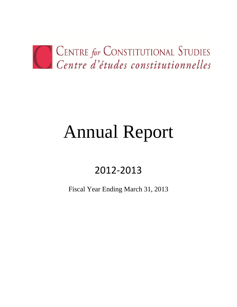

# Annual Report

# 2012-2013

Fiscal Year Ending March 31, 2013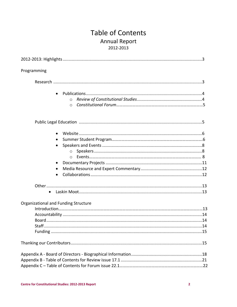# **Table of Contents Annual Report** 2012-2013

| Programming                          |
|--------------------------------------|
|                                      |
| $\circ$<br>$\circ$                   |
|                                      |
|                                      |
| Organizational and Funding Structure |
|                                      |
|                                      |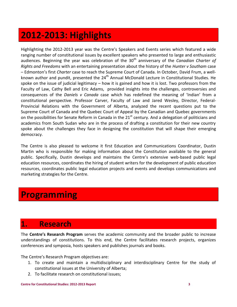# <span id="page-2-0"></span>**2012-2013: Highlights**

Highlighting the 2012-2013 year was the Centre's Speakers and Events series which featured a wide ranging number of constitutional issues by excellent speakers who presented to large and enthusiastic audiences. Beginning the year was celebration of the 30<sup>th</sup> anniversary of the *Canadian Charter of Rights and Freedoms* with an entertaining presentation about the history of the *Hunter v Southam* case – Edmonton's first *Charter* case to reach the Supreme Court of Canada. In October, David Frum, a wellknown author and pundit, presented the 24<sup>th</sup> Annual McDonald Lecture in Constitutional Studies. He spoke on the issue of judicial legitimacy – how it is gained and how it is lost. Two professors from the Faculty of Law, Cathy Bell and Eric Adams, provided insights into the challenges, controversies and consequences of the *Daniels v Canada* case which has redefined the meaning of 'Indian' from a constitutional perspective. Professor Carver, Faculty of Law and Jared Wesley, Director, Federal-Provincial Relations with the Government of Alberta, analyzed the recent questions put to the Supreme Court of Canada and the Quebec Court of Appeal by the Canadian and Quebec governments on the possibilities for Senate Reform in Canada in the  $21<sup>st</sup>$  century. And a delegation of politicians and academics from South Sudan who are in the process of drafting a constitution for their new country spoke about the challenges they face in designing the constitution that will shape their emerging democracy.

The Centre is also pleased to welcome it first Education and Communications Coordinator, Dustin Martin who is responsible for making information about the Constitution available to the general public. Specifically, Dustin develops and maintains the Centre's extensive web-based public legal education resources, coordinates the hiring of student writers for the development of public education resources, coordinates public legal education projects and events and develops communications and marketing strategies for the Centre.

# **Programming**

# **1. Research**

The **Centre's Research Program** serves the academic community and the broader public to increase understandings of constitutions. To this end, the Centre facilitates research projects, organizes conferences and symposia, hosts speakers and publishes journals and books.

The Centre's Research Program objectives are:

- 1. To create and maintain a multidisciplinary and interdisciplinary Centre for the study of constitutional issues at the University of Alberta;
- 2. To facilitate research on constitutional issues;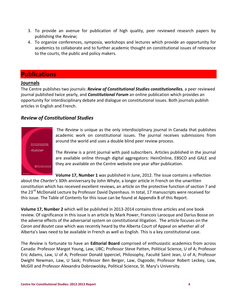- 3. To provide an avenue for publication of high quality, peer reviewed research papers by publishing the *Review*;
- 4. To organize conferences, symposia, workshops and lectures which provide an opportunity for academics to collaborate and to further academic thought on constitutional issues of relevance to the courts, the public and policy makers.

## **Publications**

### **Journals**

The Centre publishes two journals: *Review of Constitutional Studies constitutionelles,* a peer reviewed journal published twice yearly, and *Constitutional Forum* an online publication which provides an opportunity for interdisciplinary debate and dialogue on constitutional issues. Both journals publish articles in English and French.

### *Review of Constitutional Studies*



The *Review* is unique as the only interdisciplinary journal in Canada that publishes academic work on constitutional issues. The journal receives submissions from around the world and uses a double blind peer review process.

The *Review* is a print journal with paid subscribers. Articles published in the journal are available online through digital aggregators: HeinOnline, EBSCO and GALE and they are available on the Centre website one year after publication.

**Volume 17, Number 1** was published in June, 2012. The issue contains a reflection about the *Charter's* 30th anniversary by John Whyte, a longer article in French on the unwritten constitution which has received excellent reviews, an article on the protective function of section 7 and the 23<sup>rd</sup> McDonald Lecture by Professor David Dyzenhaus. In total, 17 manuscripts were received for this issue. The Table of Contents for this issue can be found at Appendix B of this Report.

**Volume 17, Number 2** which will be published in 2013-2014 contains three articles and one book review. Of significance in this issue is an article by Mark Power, Francois Larocque and Darius Bosse on the adverse effects of the adversarial system on constitutional litigation. The article focuses on the *Caron and Boutet* case which was recently heard by the Alberta Court of Appeal on whether all of Alberta's laws need to be available in French as well as English. This is a key constitutional case.

The *Review* is fortunate to have an **Editorial Board** comprised of enthusiastic academics from across Canada: Professor Margot Young, Law, UBC; Professor Steve Patten, Political Science, U of A; Professor Eric Adams, Law, U of A; Professor Donald Ipperciel, Philosophy, Faculté Saint Jean, U of A; Professor Dwight Newman, Law, U Sask; Professor Ben Berger, Law, Osgoode; Professor Robert Leckey, Law, McGill and Professor Alexandra Dobrowolsky, Political Science, St. Mary's University.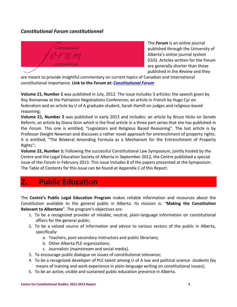### *Constitutional Forum constitutionnel*



The *Forum* is an online journal published through the University of Alberta's online journal system (OJS). Articles written for the *Forum*  are generally shorter than those published in the *Review* and they

are meant to provide insightful commentary on current topics of Canadian and International constitutional importance. **Link to the** *Forum at: [Constitutional Forum](http://ejournals.library.ualberta.ca/index.php/constitutional_forum/issue/archive)*

**Volume 21, Number 1** was published in July, 2012. The issue includes 3 articles: the speech given by Roy Romanow at the Patriation Negotiations Conference; an article in French by Hugo Cyr on federalism and an article by U of A graduate student, Sarah Hamill on judges and religious-based reasoning;

**Volume 21, Number 2** was published in early 2013 and includes: an article by Bruce Hicks on Senate Reform; an article by Diana Ginn which is the final article in a three part series that she has published in the *Forum.* This one is entitled, "Legislators and Religious Based Reasoning". The last article is by Professor Dwight Newman and discusses a rather novel approach for entrenchment of property rights. It is entitled, "The Bilateral Amending Formula as a Mechanism for the Entrenchment of Property Rights";

**Volume 22, Number 1:** Following the successful Constitutional Law Symposium, jointly hosted by the Centre and the Legal Education Society of Alberta in September 2012, the Centre published a special issue of the *Forum* in February 2013. This issue includes 8 of the papers presented at the Symposium. The Table of Contents for this issue can be found at Appendix C of this Report.

# **2. Public Education**

The **Centre's Public Legal Education Program** makes reliable information and resources about the Constitution available to the general public in Alberta. Its mission is: "**Making the Constitution Relevant to Albertans**". The program's objectives are:

- 1. To be a recognized provider of reliable, neutral, plain-language information on constitutional affairs for the general public;
- 2. To be a valued source of information and advice to various sectors of the public in Alberta, specifically:
	- a. Teachers, post-secondary instructors and public librarians;
	- b. Other Alberta PLE organizations;
	- c. Journalists (mainstream and social media).
- 3. To encourage public dialogue on issues of constitutional relevance;
- 4. To be a recognized developer of PLE talent among U of A law and political science students (by means of training and work experience in plain-language writing on constitutional issues);
- 5. To be an active, visible and sustained public education presence in Alberta.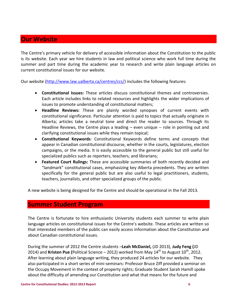## **Our Website**

The Centre's primary vehicle for delivery of accessible information about the Constitution to the public is its website. Each year we hire students in law and political science who work full time during the summer and part time during the academic year to research and write plain language articles on current constitutional issues for our website.

Our website [\(http://www.law.ualberta.ca/centres/ccs/\)](http://www.law.ualberta.ca/centres/ccs/) includes the following features:

- **Constitutional Issues:** These articles discuss constitutional themes and controversies. Each article includes links to related resources and highlights the wider implications of issues to promote understanding of constitutional matters;
- **Headline Reviews:** These are plainly worded synopses of current events with constitutional significance. Particular attention is paid to topics that actually originate in Alberta; articles take a neutral tone and direct the reader to sources. Through its Headline Reviews, the Centre plays a leading – even unique -- role in pointing out and clarifying constitutional issues while they remain topical;
- **Constitutional Keywords**: Constitutional Keywords define terms and concepts that appear in Canadian constitutional discourse, whether in the courts, legislatures, election campaigns, or the media. It is easily accessible to the general public but still useful for specialized publics such as reporters, teachers, and librarians;
- **Featured Court Rulings:** These are accessible summaries of both recently decided and "landmark" constitutional cases, emphasizing key Alberta precedents. They are written specifically for the general public but are also useful to legal practitioners, students, teachers, journalists, and other specialized groups of the public.

A new website is being designed for the Centre and should be operational in the Fall 2013.

# **Summer Student Program**

The Centre is fortunate to hire enthusiastic University students each summer to write plain language articles on constitutional issues for the Centre's website. These articles are written so that interested members of the public can easily access information about the Constitution and about Canadian constitutional issues.

During the summer of 2012 the Centre students –**Leah McDaniel,** (JD 2013), **Judy Feng (**JD 2014) and **Kristen Pue (**Political Science – 2012) worked from May  $14<sup>th</sup>$  to August  $10<sup>th</sup>$ , 2012. After learning about plain language writing, they produced 24 articles for our website. They also participated in a short series of mini-seminars: Professor Bruce Ziff provided a seminar on the Occupy Movement in the context of property rights; Graduate Student Sarah Hamill spoke about the difficulty of amending our Constitution and what that means for the future and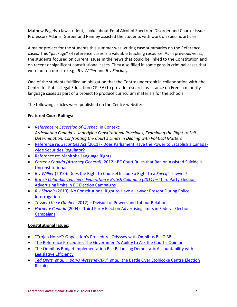Mathew Pagels a law student, spoke about Fetal Alcohol Spectrum Disorder and Charter Issues. Professors Adams, Garber and Penney assisted the students with work on specific articles.

A major project for the students this summer was writing case summaries on the Reference cases. This "package" of reference cases is a valuable teaching resource. As in previous years, the students focused on current issues in the news that could be linked to the Constitution and on recent or significant constitutional cases. They also filled in some gaps in criminal cases that were not on our site (e.g. *R v Willier* and *R v Sinclair).* 

One of the students fulfilled an obligation that the Centre undertook in collaboration with the Centre for Public Legal Education (CPLEA) to provide research assistance on French minority language cases as part of a project to produce curriculum materials for the schools.

The following articles were published on the Centre website:

### **Featured Court Rulings:**

- *[Reference re Secession of Quebec](http://www.law.ualberta.ca/centres/ccs/rulings/Secession_of_Quebec.php)*, in Context: *Articulating Canada's Underlying Constitutional Principles, Examining the Right to Self-Determination, Confronting the Court's Limits in Dealing with Political Matters*
- Reference re: *Securities Act* (2011) [Does Parliament Have the Power to Establish a Canada](http://www.law.ualberta.ca/centres/ccs/rulings/Securities_Act_2011.php)[wide Securities Regulator?](http://www.law.ualberta.ca/centres/ccs/rulings/Securities_Act_2011.php)
- **[Reference re: Manitoba Language Rights](http://www.law.ualberta.ca/centres/ccs/rulings/manitoba_language_rights.php)**
- *Carter v Canada (Attorney General)* [\(2012\): BC Court Rules that Ban on Assisted Suicide is](http://www.law.ualberta.ca/centres/ccs/rulings/Carter_v_Canada.php)  [Unconstitutional](http://www.law.ualberta.ca/centres/ccs/rulings/Carter_v_Canada.php)
- *R v Willier* [\(2010\): Does the Right to Counsel Include a Right to a](http://www.law.ualberta.ca/centres/ccs/rulings/Willier.php) *Specific* Lawyer?
- **•** [British Columbia Teachers' Federation v British Columbia \(2011\)](http://www.law.ualberta.ca/centres/ccs/rulings/BC_Election_Campaigns.php)  Third Party Election [Advertising limits in BC Election Campaigns](http://www.law.ualberta.ca/centres/ccs/rulings/BC_Election_Campaigns.php)
- *R v Sinclair* [\(2010\): No Constitutional Right to Have a Lawyer Present During Police](http://www.law.ualberta.ca/centres/ccs/rulings/Sinclair.php)  [Interrogation](http://www.law.ualberta.ca/centres/ccs/rulings/Sinclair.php)
- *Tessier Ltée v Quebec* (2012) [Division of Powers and Labour Relations](http://www.law.ualberta.ca/centres/ccs/rulings/Tessier.php)
- *Harper v Canada* (2004) [Third Party Election Advertising limits in Federal Election](http://www.law.ualberta.ca/centres/ccs/rulings/Elections_Act.php)  **[Campaigns](http://www.law.ualberta.ca/centres/ccs/rulings/Elections_Act.php)**

### **Constitutional Issues:**

- ["Trojan Horse": Opposition's Procedural Odyssey with Omnibus Bill C](http://www.law.ualberta.ca/centres/ccs/issues/Omnibus_BillC38.php)-38
- The Reference Procedure: The Government's [Ability to Ask the Court's Opinion](http://www.law.ualberta.ca/centres/ccs/issues/Reference_Procedure.php)
- [The Omnibus Budget Implementation Bill: Balancing Democratic Accountability with](http://www.law.ualberta.ca/centres/ccs/issues/Omnibus.php)  [Legislative Efficiency](http://www.law.ualberta.ca/centres/ccs/issues/Omnibus.php)
- *[Ted Opitz, et al. v. Borys Wrzesnewskyj, et al.](http://www.law.ualberta.ca/centres/ccs/issues/Etobicoke.php)*: the Battle Over Etobicoke Centre Election **[Results](http://www.law.ualberta.ca/centres/ccs/issues/Etobicoke.php)**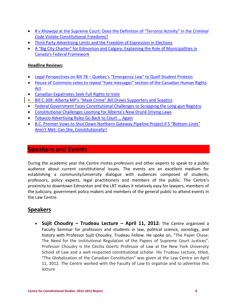- *R v Khawaja* at the Supreme [Court: Does the Definition of "Terrorist Activity" in the](http://www.law.ualberta.ca/centres/ccs/issues/khawaja.php) *Criminal Code* [Violate Constitutional Freedoms?](http://www.law.ualberta.ca/centres/ccs/issues/khawaja.php)
- [Third Party Advertising Limits and the Freedom of Expression in Elections](http://www.law.ualberta.ca/centres/ccs/rulings/BC_Election_Campaigns.php)
- [A "Big City Charter" for Edmonton and Calgary: Explaining the Role of Municipalities in](http://www.law.ualberta.ca/centres/ccs/issues/Big_City_Charter.php)  [Canada's Federal Framework](http://www.law.ualberta.ca/centres/ccs/issues/Big_City_Charter.php)

### **Headline Reviews:**

- Legal Perspectives on Bill 78 [Quebec's "Emergency Law" to Quell Student Protests](http://www.law.ualberta.ca/centres/ccs/news/?id=371)
- House of Commons votes to repeal "hate messages" section of the Canadian Human Rights [Act](http://www.law.ualberta.ca/centres/ccs/news/?id=373)
- [Canadian Expatriates Seek Full Rights to Vote](http://www.law.ualberta.ca/centres/ccs/news/?id=370)
- Bill C-309: Alberta MP's "M[ask Crime" Bill Draws Supporters and](http://www.law.ualberta.ca/centres/ccs/news/?id=367) Sceptics
- [Federal Government Faces Constitutional Challenges to Scrapping the Long-gun Registry](http://www.law.ualberta.ca/centres/ccs/news/?id=367)
- [Constitutional Challenges Looming for Alberta's N](http://www.law.ualberta.ca/centres/ccs/news/?id=372)ew Drunk Driving Laws
- [Tobacco Advertising Rules Go Back to Court … Again](http://www.law.ualberta.ca/centres/ccs/news/?id=366)
- B.C. Premier Vows to Shut Down N[orthern Gateway Pipeline Project if 5 "Bottom](http://www.law.ualberta.ca/centres/ccs/issues/Gateway_Pipeline.php)-Lines" [Aren't Met: Can She, Constitutionally?](http://www.law.ualberta.ca/centres/ccs/issues/Gateway_Pipeline.php)

### **Speakers and Events**

During the academic year the Centre invites professors and other experts to speak to a public audience about current constitutional issues. The events are an excellent medium for establishing a community/university dialogue with audiences composed of students, professors, policy experts, legal practitioners and members of the public. The Centre's proximity to downtown Edmonton and the LRT makes it relatively easy for lawyers, members of the judiciary, government policy makers and members of the general public to attend events in the Law Centre.

# **Speakers**

 **Sujit Choudry – Trudeau Lecture – April 11, 2012:** The Centre organized a Faculty Seminar for professors and students in law, political science, sociology, and history with Professor Sujit Choudry, Trudeau Fellow. He spoke on, "The Paper Chase: The Need for the Institutional Regulation of the Papers of Supreme Court Justices". Professor Choudry is the Cecilia Goertz Professor of Law at the New York University School of Law and a well-respected constitutional scholar. His Trudeau Lecture, titled, "The Globalization of the Canadian Constitution" was given at the Law Centre on April 11, 2012. The Centre worked with the Faculty of Law to organize and to advertise this lecture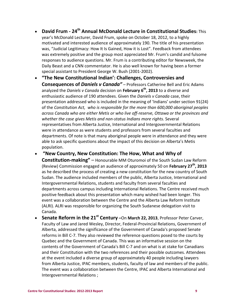- **David Frum - 24th Annual McDonald Lecture in Constitutional Studies:** This year's McDonald Lecturer, David Frum, spoke on October 18, 2012, to a highly motivated and interested audience of approximately 190. The title of his presentation was, "Judicial Legitimacy: How It Is Gained, How it is Lost". Feedback from attendees was extremely positive and the group most appreciated Mr. Frum's candid and fulsome responses to audience questions. Mr. Frum is a contributing editor for Newsweek, the Daily Beast and a CNN commentator. He is also well known for having been a former special assistant to President George W. Bush (2001-2002).
- **"The New Constitutional Indian': Challenges, Controversies and Consequences of** *Daniels v Canada"* – Professors Catherine Bell and Eric Adams analyzed the *Daniels v Canada* decision on **February 6th, 2013** to a diverse and enthusiastic audience of 190 attendees. Given the *Daniels v Canada* case, their presentation addressed who is included in the meaning of 'Indians' under section 91(24) of the *Constitution Act, who is responsible for the more than 600,000 aboriginal peoples across Canada who are either Metis or who live off-reserve, Ottawa or the provinces and whether the case gives Metis and non-status Indians more rights.* Several representatives from Alberta Justice, International and Intergovernmental Relations were in attendance as were students and professors from several faculties and departments. Of note is that many aboriginal people were in attendance and they were able to ask specific questions about the impact of this decision on Alberta's Metis population.
- **"New Country, New Constitution: The How, What and Why of Constitution-making"** – Honourable MM Oturomoi of the South Sudan Law Reform (Review) Commission engaged an audience of approximately 50 on **February 27th, 2013** as he described the process of creating a new constitution for the new country of South Sudan. The audience included members of the public, Alberta Justice, International and Intergovernmental Relations, students and faculty from several faculties and departments across campus including International Relations. The Centre received much positive feedback about this presentation which many wished had been longer. This event was a collaboration between the Centre and the Alberta Law Reform Institute (ALRI). ALRI was responsible for organizing the South Sudanese delegation visit to Canada.
- **Senate Reform in the 21st Century –**On **March 22, 2013**, Professor Peter Carver, Faculty of Law and Jared Wesley, Director, Federal-Provincial Relations, Government of Alberta, addressed the significance of the Government of Canada's proposed Senate reforms in Bill C-7. They also reviewed the reference questions posed to the courts by Quebec and the Government of Canada. This was an informative session on the contents of the Government of Canada's Bill C-7 and on what is at stake for Canadians and their Constitution with the two references and their possible outcomes. Attendees at the event included a diverse group of approximately 40 people including lawyers from Alberta Justice, IPAC members, students, faculty of law and members of the public. The event was a collaboration between the Centre, IPAC and Alberta International and Intergovernmental Relations ;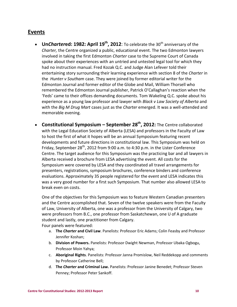### **Events**

- Un*Chartered*: 1982: April 19<sup>th</sup>, 2012: To celebrate the 30<sup>th</sup> anniversary of the *Charter,* the Centre organized a public, educational event. The two Edmonton lawyers involved in taking the first Edmonton *Charter* case to the Supreme Court of Canada spoke about their experiences with an untried and untested legal tool for which they had no instruction manual. Fred Kozak Q.C. and Judge Alan Lefever told their entertaining story surrounding their learning experience with section 8 of the *Charter* in the *Hunter v Southam* case. They were joined by former editorial writer for the Edmonton Journal and former editor of the Globe and Mail, William Thorsell who remembered the Edmonton Journal publisher, Patrick O'Callaghan's reaction when the 'Feds' came to their offices demanding documents. Tom Wakeling Q.C. spoke about his experience as a young law professor and lawyer with *Black v Law Society of Alberta* and with the *Big M Drug Mart* cases just as the *Charter* emerged. It was a well-attended and memorable evening.
- **Constitutional Symposium – September 28th, 2012:** The Centre collaborated with the Legal Education Society of Alberta (LESA) and professors in the Faculty of Law to host the first of what it hopes will be an annual Symposium featuring recent developments and future directions in constitutional law. This Symposium was held on Friday, September 28<sup>th</sup>, 2012 from 9:00 a.m. to 4:30 p.m. in the Lister Conference Centre. The target audience for this Symposium was the practicing bar and all lawyers in Alberta received a brochure from LESA advertising the event. All costs for the Symposium were covered by LESA and they coordinated all travel arrangements for presenters, registrations, symposium brochures, conference binders and conference evaluations. Approximately 35 people registered for the event and LESA indicates this was a very good number for a first such Symposium. That number also allowed LESA to break even on costs.

One of the objectives for this Symposium was to feature Western Canadian presenters and the Centre accomplished that. Seven of the twelve speakers were from the Faculty of Law, University of Alberta, one was a professor from the University of Calgary, two were professors from B.C., one professor from Saskatchewan, one U of A graduate student and lastly, one practitioner from Calgary. Four panels were featured:

- a. **The** *Charter* **and Civil Law**. Panelists: Professor Eric Adams; Colin Feasby and Professor Jennifer Koshan;
- b. **Division of Powers.** Panelists: Professor Dwight Newman, Professor Ubaka Ogbogu, Professor Moin Yahya;
- c. **Aboriginal Rights**. Panelists: Professor Janna Promislow, Neil Reddekopp and comments by Professor Catherine Bell;
- d. **The** *Charter* **and Criminal Law.** Panelists: Professor Janine Benedet; Professor Steven Penney; Professor Peter Sankoff.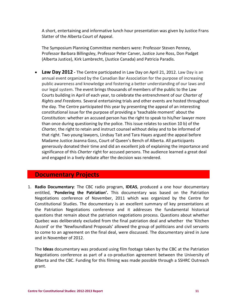A short, entertaining and informative lunch hour presentation was given by Justice Frans Slatter of the Alberta Court of Appeal.

The Symposium Planning Committee members were: Professor Steven Penney, Professor Barbara Billingsley, Professor Peter Carver, Justice June Ross, Don Padget (Alberta Justice), Kirk Lambrecht, (Justice Canada) and Patricia Paradis.

 **Law Day 2012 -** The Centre participated in Law Day on April 21, 2012. Law Day is an annual event organized by the Canadian Bar Association for the purpose of increasing public awareness and knowledge and fostering a better understanding of our laws and our legal system. The event brings thousands of members of the public to the Law Courts building in April of each year, to celebrate the entrenchment of our *Charter of Rights and Freedoms.* Several entertaining trials and other events are hosted throughout the day. The Centre participated this year by presenting the appeal of an interesting constitutional issue for the purpose of providing a 'teachable moment' about the Constitution: whether an accused person has the right to speak to his/her lawyer more than once during questioning by the police. This issue relates to section 10 b) of the *Charter,* the right to retain and instruct counsel without delay and to be informed of that right. Two young lawyers, Lindsay Tait and Tara Hayes argued the appeal before Madame Justice Joanna Goss, Court of Queen's Bench of Alberta. All participants generously donated their time and did an excellent job of explaining the importance and significance of this *Charter* right for accused persons. The audience learned a great deal and engaged in a lively debate after the decision was rendered.

### **Documentary Projects**

1. **Radio Documentary**: The CBC radio program, **IDEAS**, produced a one hour documentary entitled, '**Pondering the Patriation'.** This documentary was based on the Patriation Negotiations conference of November, 2011 which was organized by the Centre for Constitutional Studies. The documentary is an excellent summary of key presentations at the Patriation Negotiations conference and it addresses the fundamental historical questions that remain about the patriation negotiations process. Questions about whether Quebec was deliberately excluded from the final patriation deal and whether the 'Kitchen Accord' or the 'Newfoundland Proposals' allowed the group of politicians and civil servants to come to an agreement on the final deal, were discussed. The documentary aired in June and in November of 2012.

The **Ideas** documentary was produced using film footage taken by the CBC at the Patriation Negotiations conference as part of a co-production agreement between the University of Alberta and the CBC. Funding for this filming was made possible through a SSHRC Outreach grant.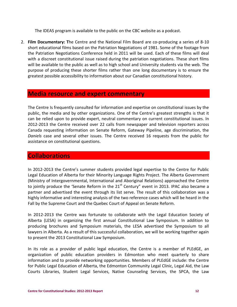The IDEAS program is available to the public on the CBC website as a podcast.

2. **Film Documentary: T**he Centre and the National Film Board are co-producing a series of 8-10 short educational films based on the Patriation Negotiations of 1981. Some of the footage from the Patriation Negotiations Conference held in 2011 will be used. Each of these films will deal with a discreet constitutional issue raised during the patriation negotiations. These short films will be available to the public as well as to high school and University students via the web. The purpose of producing these shorter films rather than one long documentary is to ensure the greatest possible accessibility to information about our Canadian constitutional history.

### **Media resource and expert commentary**

The Centre Is frequently consulted for information and expertise on constitutional issues by the public, the media and by other organizations. One of the Centre's greatest strengths is that it can be relied upon to provide expert, neutral commentary on current constitutional issues. In 2012-2013 the Centre received over 22 calls from newspaper and television reporters across Canada requesting information on Senate Reform, Gateway Pipeline, age discrimination, the *Daniels* case and several other issues. The Centre received 16 requests from the public for assistance on constitutional questions.

## **Collaborations**

In 2012-2013 the Centre's summer students provided legal expertise to the Centre for Public Legal Education of Alberta for their Minority Language Rights Project. The Alberta Government (Ministry of Intergovernmental, International and Aboriginal Relations) approached the Centre to jointly produce the 'Senate Reform in the  $21<sup>st</sup>$  Century" event in 2013. IPAC also became a partner and advertised the event through its list serve. The result of this collaboration was a highly informative and interesting analysis of the two reference cases which will be heard in the Fall by the Supreme Court and the Quebec Court of Appeal on Senate Reform.

In 2012-2013 the Centre was fortunate to collaborate with the Legal Education Society of Alberta (LESA) in organizing the first annual Constitutional Law Symposium. In addition to producing brochures and Symposium materials, the LESA advertised the Symposium to all lawyers in Alberta. As a result of this successful collaboration, we will be working together again to present the 2013 Constitutional Law Symposium.

In its role as a provider of public legal education, the Centre is a member of PLEdGE, an organization of public education providers in Edmonton who meet quarterly to share information and to provide networking opportunities. Members of PLEdGE include: the Centre for Public Legal Education of Alberta, the Edmonton Community Legal Clinic, Legal Aid, the Law Courts Libraries, Student Legal Services, Native Counseling Services, the SPCA, the Law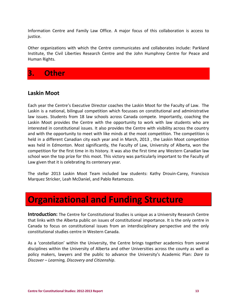Information Centre and Family Law Office. A major focus of this collaboration is access to justice.

Other organizations with which the Centre communicates and collaborates include: Parkland Institute, the Civil Liberties Research Centre and the John Humphrey Centre for Peace and Human Rights.

# **3. Other**

# **Laskin Moot**

Each year the Centre's Executive Director coaches the Laskin Moot for the Faculty of Law. The Laskin is a national, bilingual competition which focusses on constitutional and administrative law issues. Students from 18 law schools across Canada compete. Importantly, coaching the Laskin Moot provides the Centre with the opportunity to work with law students who are interested in constitutional issues. It also provides the Centre with visibility across the country and with the opportunity to meet with like minds at the moot competition. The competition is held in a different Canadian city each year and in March, 2013 , the Laskin Moot competition was held in Edmonton. Most significantly, the Faculty of Law, University of Alberta, won the competition for the first time in its history. It was also the first time any Western Canadian law school won the top prize for this moot. This victory was particularly important to the Faculty of Law given that it is celebrating its centenary year.

The stellar 2013 Laskin Moot Team included law students: Kathy Drouin-Carey, Francisco Marquez Stricker, Leah McDaniel, and Pablo Retamozzo.

# **Organizational and Funding Structure**

**Introduction:** The Centre for Constitutional Studies is unique as a University Research Centre that links with the Alberta public on issues of constitutional importance. It is the only centre in Canada to focus on constitutional issues from an interdisciplinary perspective and the only constitutional studies centre in Western Canada.

As a 'constellation' within the University, the Centre brings together academics from several disciplines within the University of Alberta and other Universities across the county as well as policy makers, lawyers and the public to advance the University's Academic Plan: *Dare to Discover – Learning, Discovery and Citizenship*.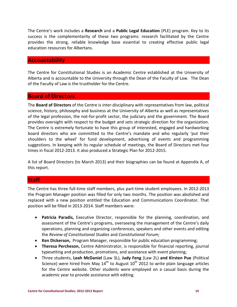The Centre's work includes a **Research** and a **Public Legal Education** (PLE) program. Key to its success is the complementarity of these two programs: research facilitated by the Centre provides the strong, reliable knowledge base essential to creating effective public legal education resources for Albertans.

### **Accountability**

The Centre for Constitutional Studies is an Academic Centre established at the University of Alberta and is accountable to the University through the Dean of the Faculty of Law. The Dean of the Faculty of Law is the trustholder for the Centre.

### **Board of Directors**

The **Board of Directors** of the Centre is inter-disciplinary with representatives from law, political science, history, philosophy and business at the University of Alberta as well as representatives of the legal profession, the not-for-profit sector, the judiciary and the government. The Board provides oversight with respect to the budget and sets strategic direction for the organization. The Centre is extremely fortunate to have this group of interested, engaged and hardworking board directors who are committed to the Centre's mandate and who regularly 'put their shoulders to the wheel' for fund development, advertising of events and programming suggestions. In keeping with its regular schedule of meetings, the Board of Directors met four times in fiscal 2012-2013. It also produced a Strategic Plan for 2012-2015.

A list of Board Directors (to March 2013) and their biographies can be found at Appendix A, of this report.

### **Staff**

The Centre has three full-time staff members, plus part-time student employees. In 2012-2013 the Program Manager position was filled for only two months. The position was abolished and replaced with a new position entitled the Education and Communications Coordinator. That position will be filled in 2013-2014. Staff members were:

- **Patricia Paradis,** Executive Director, responsible for the planning, coordination, and assessment of the Centre's programs, overseeing the management of the Centre's daily operations, planning and organizing conferences, speakers and other events and editing the *Review of Constitutional Studies* and *Constitutional Forum;*
- **Ken Dickerson,** Program Manager, responsible for public education programming;
- **Theresa Percheson,** Centre Administrator, is responsible for financial reporting, journal typesetting and production, promotions, and assistance with event planning;
- Three students, **Leah McDaniel** (Law 3L), **Judy Feng** (Law 2L) **and Kirsten Pue** (Political Science) were hired from May  $14<sup>th</sup>$  to August  $10<sup>th</sup>$  2012 to write plain language articles for the Centre website. Other students were employed on a casual basis during the academic year to provide assistance with editing.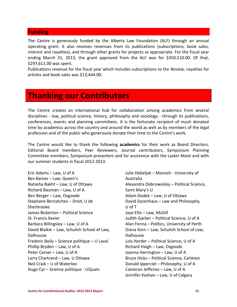### **Funding**

The Centre is generously funded by the Alberta Law Foundation (ALF) through an annual operating grant. It also receives revenues from its publications (subscriptions, book sales, interest and royalties), and through other grants for projects as appropriate. For the fiscal year ending March 31, 2013, the grant approved from the ALF was for \$350,510.00. Of that, \$297,611.00 was spent.

Publications revenue for the fiscal year which includes subscriptions to the *Review,* royalties for articles and book sales was \$13,444.00.

# **Thanking our Contributors**

The Centre creates an international hub for collaboration among academics from several disciplines - law, political science, history, philosophy and sociology - through its publications, conferences, events and planning committees. It is the fortunate recipient of much donated time by academics across the country and around the world as well as by members of the legal profession and of the public who generously donate their time to the Centre's work.

The Centre would like to thank the following **academics** for their work as Board Directors, Editorial Board members, Peer Reviewers, Journal contributors, Symposium Planning Committee members, Symposium presenters and for assistance with the Laskin Moot and with our summer students in fiscal 2012-2013:

Eric Adams – Law, U of A Bev Baines – Law, Queen's Natasha Bakht – Law, U of Ottawa Richard Bauman – Law, U of A Ben Berger – Law, Osgoode Stephane Bernatchez – Droit, U de Sherbrooke James Bickerton – Political Science St. Francis Xavier Barbara Billingsley – Law, U of A David Blaikie – Law, Schulich School of Law, Dalhousie Frederic Boily – Science politique – U Laval Phillip Bryden – Law, U of A Peter Carver – Law, U of A Larry Chartrand – Law, U Ottawa Neil Craik – U of Waterloo Hugo Cyr – Science politique - UQuam

Julie Debeljak – Monash - University of Australia Alexandra Dobrowolsky – Political Science, Saint Mary's U Adam Dodek – Law, U of Ottawa David Dyzenhaus – Law and Philosophy, U of T Jaye Ellis – Law, McGill Judith Garber – Political Science, U of A Alan Fenna – Politics, University of Perth Diana Ginn – Law, Schulich School of Law, Dalhousie Lois Harder – Political Science, U of A Richard Haigh – Law, Osgoode Joanna Harrington – Law, U of A Bruce Hicks – Political Science, Carleton Donald Ipperciel – Philosophy, U of A Cameron Jefferies – Law, U of A Jennifer Koshan – Law, U of Calgary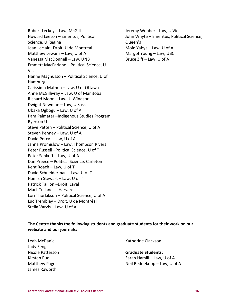Robert Leckey – Law, McGill Howard Leeson – Emeritus, Political Science, U Regina Jean Leclair –Droit, U de Montréal Matthew Lewans – Law, U of A Vanessa MacDonnell – Law, UNB Emmett MacFarlane – Political Science, U Vic Hanne Magnusson – Political Science, U of Hamburg Carissima Mathen – Law, U of Ottawa Anne McGillivray – Law, U of Manitoba Richard Moon – Law, U Windsor Dwight Newman – Law, U Sask Ubaka Ogbogu – Law, U of A Pam Palmater –Indigenous Studies Program Ryerson U Steve Patten – Political Science, U of A Steven Penney – Law, U of A David Percy – Law, U of A Janna Promislow – Law, Thompson Rivers Peter Russell –Political Science, U of T Peter Sankoff – Law, U of A Dan Preece – Political Science, Carleton Kent Roach – Law, U of T David Schneiderman – Law, U of T Hamish Stewart – Law, U of T Patrick Taillon –Droit, Laval Mark Tushnet – Harvard Lori Thorlakson – Political Science, U of A Luc Tremblay – Droit, U de Montréal Stella Varvis – Law, U of A

Jeremy Webber - Law, U Vic John Whyte – Emeritus, Political Science, Queen's Moin Yahya – Law, U of A Margot Young – Law, UBC Bruce Ziff – Law, U of A

### **The Centre thanks the following students and graduate students for their work on our website and our journals:**

Leah McDaniel Judy Feng Nicole Patterson Kirsten Pue Matthew Pagels James Raworth

Katherine Clackson

### **Graduate Students:** Sarah Hamill – Law, U of A Neil Reddekopp – Law, U of A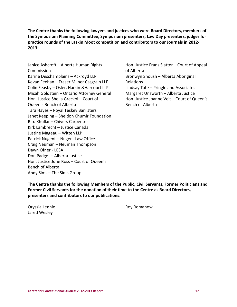**The Centre thanks the following lawyers and justices who were Board Directors, members of the Symposium Planning Committee, Symposium presenters, Law Day presenters, judges for practice rounds of the Laskin Moot competition and contributors to our Journals in 2012- 2013:**

Janice Ashcroft – Alberta Human Rights Commission Karine Deschamplains – Ackroyd LLP Kevan Feehan – Fraser Milner Casgrain LLP Colin Feasby – Osler, Harkin &Harcourt LLP Micah Goldstein – Ontario Attorney General Hon. Justice Sheila Greckol – Court of Queen's Bench of Alberta Tara Hayes – Royal Teskey Barristers Janet Keeping – Sheldon Chumir Foundation Ritu Khullar – Chivers Carpenter Kirk Lambrecht – Justice Canada Justine Mageau – Witten LLP Patrick Nugent – Nugent Law Office Craig Neuman – Neuman Thompson Dawn Ofner - LESA Don Padget – Alberta Justice Hon. Justice June Ross – Court of Queen's Bench of Alberta Andy Sims – The Sims Group

Hon. Justice Frans Slatter – Court of Appeal of Alberta Bronwyn Shoush – Alberta Aboriginal Relations Lindsay Tate – Pringle and Associates Margaret Unsworth – Alberta Justice Hon. Justice Joanne Veit – Court of Queen's Bench of Alberta

**The Centre thanks the following Members of the Public, Civil Servants, Former Politicians and Former Civil Servants for the donation of their time to the Centre as Board Directors, presenters and contributors to our publications.**

Oryssia Lennie Jared Wesley

Roy Romanow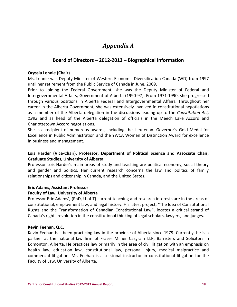# *Appendix A*

### **Board of Directors – 2012-2013 – Biographical Information**

### **Oryssia Lennie (Chair)**

Ms. Lennie was Deputy Minister of Western Economic Diversification Canada (WD) from 1997 until her retirement from the Public Service of Canada in June, 2009.

Prior to joining the Federal Government, she was the Deputy Minister of Federal and Intergovernmental Affairs, Government of Alberta (1990-97). From 1971-1990, she progressed through various positions in Alberta Federal and Intergovernmental Affairs. Throughout her career in the Alberta Government, she was extensively involved in constitutional negotiations as a member of the Alberta delegation in the discussions leading up to the *Constitution Act, 1982* and as head of the Alberta delegation of officials in the Meech Lake Accord and Charlottetown Accord negotiations.

She is a recipient of numerous awards, including the Lieutenant-Governor's Gold Medal for Excellence in Public Administration and the YWCA Women of Distinction Award for excellence in business and management.

### **Lois Harder (Vice-Chair), Professor, Department of Political Science and Associate Chair, Graduate Studies, University of Alberta**

Professor Lois Harder's main areas of study and teaching are political economy, social theory and gender and politics. Her current research concerns the law and politics of family relationships and citizenship in Canada, and the United States.

### **Eric Adams, Assistant Professor**

### **Faculty of Law, University of Alberta**

Professor Eric Adams', (PhD, U of T) current teaching and research interests are in the areas of constitutional, employment law, and legal history. His latest project, "The Idea of Constitutional Rights and the Transformation of Canadian Constitutional Law", locates a critical strand of Canada's rights revolution in the constitutional thinking of legal scholars, lawyers, and judges.

### **Kevin Feehan, Q.C.**

Kevin Feehan has been practicing law in the province of Alberta since 1979. Currently, he is a partner at the national law firm of Fraser Milner Casgrain LLP, Barristers and Solicitors in Edmonton, Alberta. He practices law primarily in the area of civil litigation with an emphasis on health law, education law, constitutional law, personal injury, medical malpractice and commercial litigation. Mr. Feehan is a sessional instructor in constitutional litigation for the Faculty of Law, University of Alberta.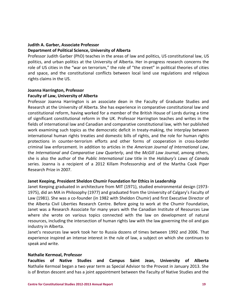### **Judith A. Garber, Associate Professor**

### **Department of Political Science, University of Alberta**

Professor Judith Garber (PhD) teaches in the areas of law and politics, US constitutional law, US politics, and urban politics at the University of Alberta. Her in-progress research concerns the role of US cities in the "war on terrorism," the role of "the street" in political theories of cities and space, and the constitutional conflicts between local land use regulations and religious rights claims in the US.

### **Joanna Harrington, Professor Faculty of Law, University of Alberta**

Professor Joanna Harrington is an associate dean in the Faculty of Graduate Studies and Research at the University of Alberta. She has experience in comparative constitutional law and constitutional reform, having worked for a member of the British House of Lords during a time of significant constitutional reform in the UK. Professor Harrington teaches and writes in the fields of international law and Canadian and comparative constitutional law, with her published work examining such topics as the democratic deficit in treaty-making, the interplay between international human rights treaties and domestic bills of rights, and the role for human rights protections in counter-terrorism efforts and other forms of cooperation in cross-border criminal law enforcement. In addition to articles in the *American Journal of International Law*, the *International and Comparative Law Quarterly*, and the *McGill Law Journal*, among others, she is also the author of the *Public International Law* title in the *Halsbury's Laws of Canada*  series. Joanna is a recipient of a 2012 Killam Professorship and of the Martha Cook Piper Research Prize in 2007.

### **Janet Keeping, President Sheldon Chumir Foundation for Ethics in Leadership**

Janet Keeping graduated in architecture from MIT (1971), studied environmental design (1973- 1975), did an MA in Philosophy (1977) and graduated from the University of Calgary's Faculty of Law (1981). She was a co-founder (in 1982 with Sheldon Chumir) and first Executive Director of the Alberta Civil Liberties Research Centre. Before going to work at the Chumir Foundation, Janet was a Research Associate for many years with the Canadian Institute of Resources Law where she wrote on various topics connected with the law on development of natural resources, including the intersection of human rights law with the law governing the oil and gas industry in Alberta.

Janet's resources law work took her to Russia dozens of times between 1992 and 2006. That experience inspired an intense interest in the rule of law, a subject on which she continues to speak and write.

### **Nathalie Kermoal, Professor**

**Faculties of Native Studies and Campus Saint Jean, University of Alberta** Nathalie Kermoal began a two year term as Special Advisor to the Provost in January 2013. She is of Breton descent and has a joint appointment between the Faculty of Native Studies and the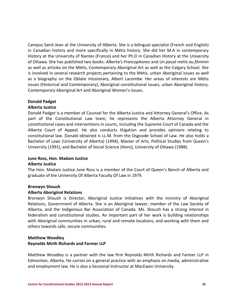Campus Saint-Jean at the University of Alberta. She is a bilingual specialist (French and English) in Canadian history and more specifically in Métis history. She did her M.A in contemporary History at the University of Nantes (France) and her Ph.D in Canadian History at the University of Ottawa. She has published two books: *Alberta's Francophones* and *Un passé métis au féminin* as well as articles on the Métis, Contemporary Aboriginal Art as well as the Calgary School. She is involved in several research projects pertaining to the Métis, urban Aboriginal issues as well as a biography on the Oblate missionary, Albert Lacombe. Her areas of interests are Métis issues (Historical and Contemporary), Aboriginal constitutional issues, urban Aboriginal history, Contemporary Aboriginal Art and Aboriginal Women's Issues.

### **Donald Padget**

### **Alberta Justice**

Donald Padget is a member of Counsel for the Alberta Justice and Attorney General's Office. As part of the Constitutional Law team, he represents the Alberta Attorney General in constitutional cases and interventions in courts, including the Supreme Court of Canada and the Alberta Court of Appeal. He also conducts litigation and provides opinions relating to constitutional law. Donald obtained is LL.M. from the Osgoode School of Law. He also holds a Bachelor of Laws (University of Alberta) (1994), Master of Arts, Political Studies from Queen's University (1991), and Bachelor of Social Science (Hons), University of Ottawa (1988).

### **June Ross, Hon. Madam Justice Alberta Justice**

The Hon. Madam Justice June Ross is a member of the Court of Queen's Bench of Alberta and graduate of the University Of Alberta Faculty Of Law in 1979.

### **Bronwyn Shoush**

### **Alberta Aboriginal Relations**

Bronwyn Shoush is Director, Aboriginal Justice Initiatives with the ministry of Aboriginal Relations, Government of Alberta. She is an Aboriginal lawyer, member of the Law Society of Alberta, and the Indigenous Bar Association of Canada. Ms. Shoush has a strong interest in federalism and constitutional studies. An important part of her work is building relationships with Aboriginal communities in urban, rural and remote locations, and working with them and others towards safe, secure communities.

### **Matthew Woodley**

### **Reynolds Mirth Richards and Farmer LLP**

Matthew Woodley is a partner with the law firm Reynolds Mirth Richards and Farmer LLP in Edmonton, Alberta. He carries on a general practice with an emphasis on media, administrative and employment law. He is also a Sessional Instructor at MacEwan University.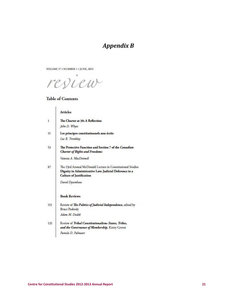# *Appendix B*

VOLUME 17 . NUMBER 1 . JUNE, 2012

resieur

### **Table of Contents**

|              | <b>Articles</b>                                                                                                                                         |
|--------------|---------------------------------------------------------------------------------------------------------------------------------------------------------|
| $\mathbf{1}$ | The Charter at 30: A Reflection                                                                                                                         |
|              | John D. Whyte                                                                                                                                           |
| 15           | Les principes constitutionnels non écrits                                                                                                               |
|              | Luc B. Tremblay                                                                                                                                         |
| 53           | The Protective Function and Section 7 of the Canadian<br><b>Charter of Rights and Freedoms</b>                                                          |
|              | Vanessa A. MacDonnell                                                                                                                                   |
| 87           | The 23rd Annual McDonald Lecture in Constitutional Studies<br>Dignity in Administrative Law: Judicial Deference in a<br><b>Culture of Justification</b> |
|              | David Dyzenhaus                                                                                                                                         |
|              | <b>Book Reviews</b>                                                                                                                                     |
| 115          | Review of The Politics of Judicial Independence, edited by<br><b>Bruce Peabody</b>                                                                      |
|              | Adam M. Dodek                                                                                                                                           |
| 135          | Review of Tribal Constitutionalism: States, Tribes,<br>and the Governance of Membership, Kirsty Grover                                                  |
|              | Pamela D. Palmater                                                                                                                                      |